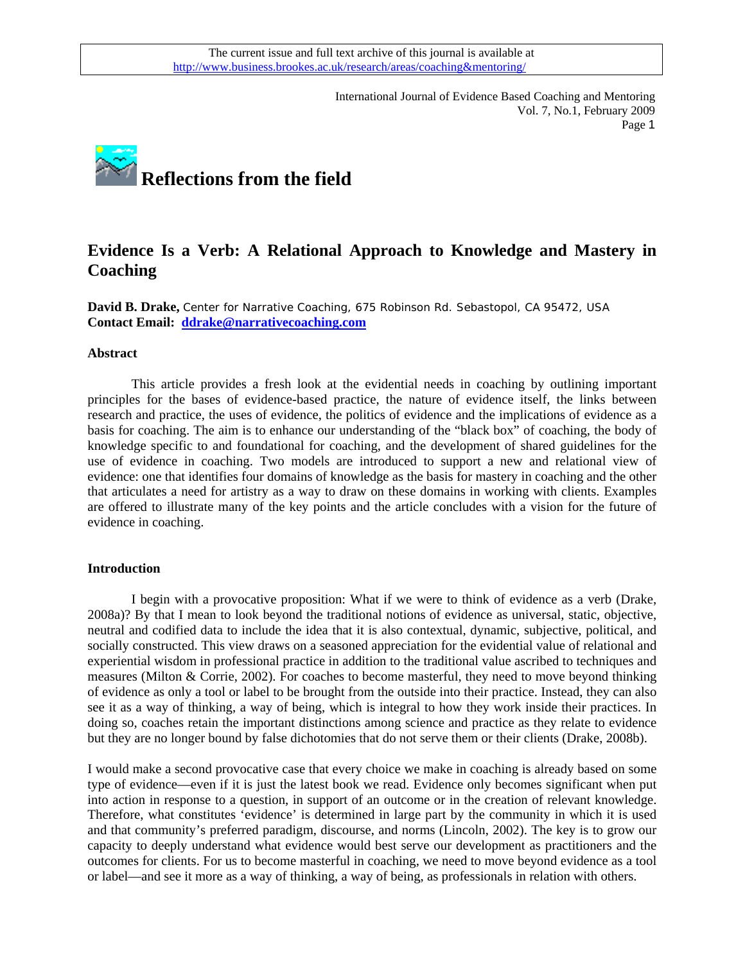International Journal of Evidence Based Coaching and Mentoring Vol. 7, No.1, February 2009 Page 1



# **Evidence Is a Verb: A Relational Approach to Knowledge and Mastery in Coaching**

**David B. Drake,** Center for Narrative Coaching, 675 Robinson Rd. Sebastopol, CA 95472, USA **Contact Email: [ddrake@narrativecoaching.com](mailto:ddrake@narrativecoaching.com)** 

#### **Abstract**

This article provides a fresh look at the evidential needs in coaching by outlining important principles for the bases of evidence-based practice, the nature of evidence itself, the links between research and practice, the uses of evidence, the politics of evidence and the implications of evidence as a basis for coaching. The aim is to enhance our understanding of the "black box" of coaching, the body of knowledge specific to and foundational for coaching, and the development of shared guidelines for the use of evidence in coaching. Two models are introduced to support a new and relational view of evidence: one that identifies four domains of knowledge as the basis for mastery in coaching and the other that articulates a need for artistry as a way to draw on these domains in working with clients. Examples are offered to illustrate many of the key points and the article concludes with a vision for the future of evidence in coaching.

#### **Introduction**

I begin with a provocative proposition: What if we were to think of evidence as a verb (Drake, 2008a)? By that I mean to look beyond the traditional notions of evidence as universal, static, objective, neutral and codified data to include the idea that it is also contextual, dynamic, subjective, political, and socially constructed. This view draws on a seasoned appreciation for the evidential value of relational and experiential wisdom in professional practice in addition to the traditional value ascribed to techniques and measures (Milton & Corrie, 2002). For coaches to become masterful, they need to move beyond thinking of evidence as only a tool or label to be brought from the outside into their practice. Instead, they can also see it as a way of thinking, a way of being, which is integral to how they work inside their practices. In doing so, coaches retain the important distinctions among science and practice as they relate to evidence but they are no longer bound by false dichotomies that do not serve them or their clients (Drake, 2008b).

I would make a second provocative case that every choice we make in coaching is already based on some type of evidence—even if it is just the latest book we read. Evidence only becomes significant when put into action in response to a question, in support of an outcome or in the creation of relevant knowledge. Therefore, what constitutes 'evidence' is determined in large part by the community in which it is used and that community's preferred paradigm, discourse, and norms (Lincoln, 2002). The key is to grow our capacity to deeply understand what evidence would best serve our development as practitioners and the outcomes for clients. For us to become masterful in coaching, we need to move beyond evidence as a tool or label—and see it more as a way of thinking, a way of being, as professionals in relation with others.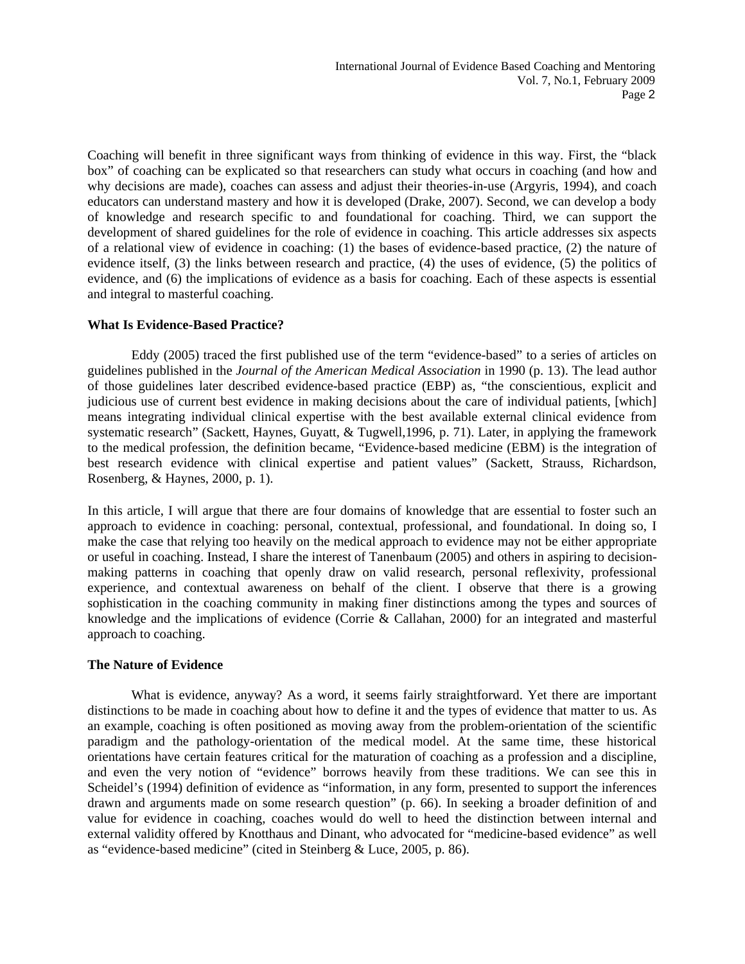Coaching will benefit in three significant ways from thinking of evidence in this way. First, the "black box" of coaching can be explicated so that researchers can study what occurs in coaching (and how and why decisions are made), coaches can assess and adjust their theories-in-use (Argyris, 1994), and coach educators can understand mastery and how it is developed (Drake, 2007). Second, we can develop a body of knowledge and research specific to and foundational for coaching. Third, we can support the development of shared guidelines for the role of evidence in coaching. This article addresses six aspects of a relational view of evidence in coaching: (1) the bases of evidence-based practice, (2) the nature of evidence itself, (3) the links between research and practice, (4) the uses of evidence, (5) the politics of evidence, and (6) the implications of evidence as a basis for coaching. Each of these aspects is essential and integral to masterful coaching.

#### **What Is Evidence-Based Practice?**

Eddy (2005) traced the first published use of the term "evidence-based" to a series of articles on guidelines published in the *Journal of the American Medical Association* in 1990 (p. 13). The lead author of those guidelines later described evidence-based practice (EBP) as, "the conscientious, explicit and judicious use of current best evidence in making decisions about the care of individual patients, [which] means integrating individual clinical expertise with the best available external clinical evidence from systematic research" (Sackett, Haynes, Guyatt, & Tugwell,1996, p. 71). Later, in applying the framework to the medical profession, the definition became, "Evidence-based medicine (EBM) is the integration of best research evidence with clinical expertise and patient values" (Sackett, Strauss, Richardson, Rosenberg, & Haynes, 2000, p. 1).

In this article, I will argue that there are four domains of knowledge that are essential to foster such an approach to evidence in coaching: personal, contextual, professional, and foundational. In doing so, I make the case that relying too heavily on the medical approach to evidence may not be either appropriate or useful in coaching. Instead, I share the interest of Tanenbaum (2005) and others in aspiring to decisionmaking patterns in coaching that openly draw on valid research, personal reflexivity, professional experience, and contextual awareness on behalf of the client. I observe that there is a growing sophistication in the coaching community in making finer distinctions among the types and sources of knowledge and the implications of evidence (Corrie & Callahan, 2000) for an integrated and masterful approach to coaching.

#### **The Nature of Evidence**

What is evidence, anyway? As a word, it seems fairly straightforward. Yet there are important distinctions to be made in coaching about how to define it and the types of evidence that matter to us. As an example, coaching is often positioned as moving away from the problem-orientation of the scientific paradigm and the pathology-orientation of the medical model. At the same time, these historical orientations have certain features critical for the maturation of coaching as a profession and a discipline, and even the very notion of "evidence" borrows heavily from these traditions. We can see this in Scheidel's (1994) definition of evidence as "information, in any form, presented to support the inferences drawn and arguments made on some research question" (p. 66). In seeking a broader definition of and value for evidence in coaching, coaches would do well to heed the distinction between internal and external validity offered by Knotthaus and Dinant, who advocated for "medicine-based evidence" as well as "evidence-based medicine" (cited in Steinberg & Luce, 2005, p. 86).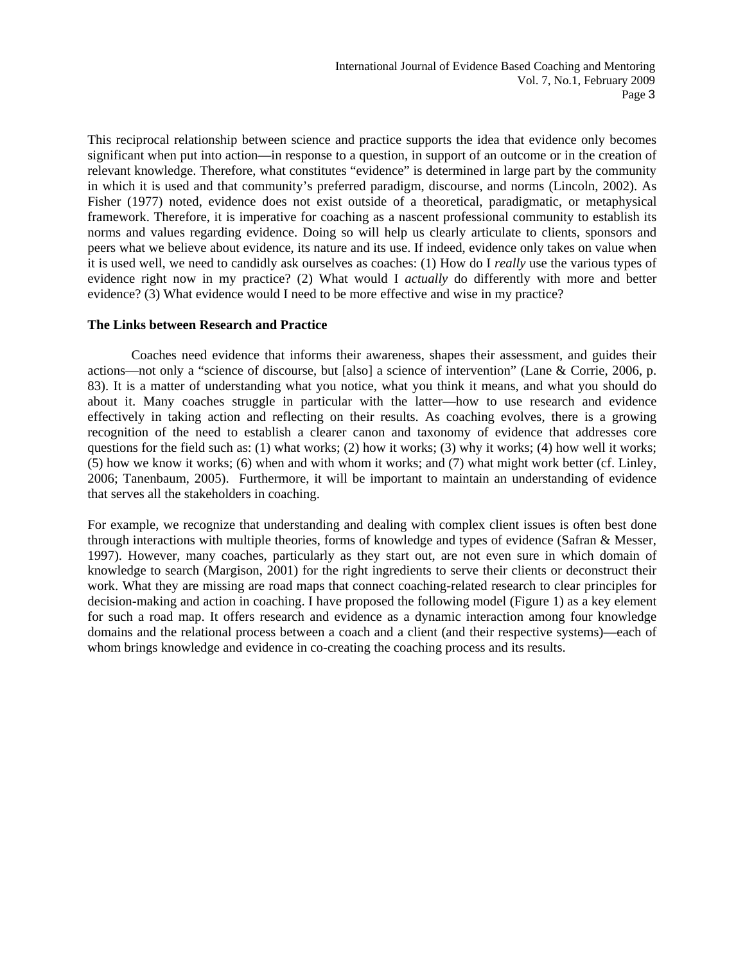This reciprocal relationship between science and practice supports the idea that evidence only becomes significant when put into action—in response to a question, in support of an outcome or in the creation of relevant knowledge. Therefore, what constitutes "evidence" is determined in large part by the community in which it is used and that community's preferred paradigm, discourse, and norms (Lincoln, 2002). As Fisher (1977) noted, evidence does not exist outside of a theoretical, paradigmatic, or metaphysical framework. Therefore, it is imperative for coaching as a nascent professional community to establish its norms and values regarding evidence. Doing so will help us clearly articulate to clients, sponsors and peers what we believe about evidence, its nature and its use. If indeed, evidence only takes on value when it is used well, we need to candidly ask ourselves as coaches: (1) How do I *really* use the various types of evidence right now in my practice? (2) What would I *actually* do differently with more and better evidence? (3) What evidence would I need to be more effective and wise in my practice?

#### **The Links between Research and Practice**

Coaches need evidence that informs their awareness, shapes their assessment, and guides their actions—not only a "science of discourse, but [also] a science of intervention" (Lane & Corrie, 2006, p. 83). It is a matter of understanding what you notice, what you think it means, and what you should do about it. Many coaches struggle in particular with the latter—how to use research and evidence effectively in taking action and reflecting on their results. As coaching evolves, there is a growing recognition of the need to establish a clearer canon and taxonomy of evidence that addresses core questions for the field such as: (1) what works; (2) how it works; (3) why it works; (4) how well it works; (5) how we know it works; (6) when and with whom it works; and (7) what might work better (cf. Linley, 2006; Tanenbaum, 2005). Furthermore, it will be important to maintain an understanding of evidence that serves all the stakeholders in coaching.

For example, we recognize that understanding and dealing with complex client issues is often best done through interactions with multiple theories, forms of knowledge and types of evidence (Safran & Messer, 1997). However, many coaches, particularly as they start out, are not even sure in which domain of knowledge to search (Margison, 2001) for the right ingredients to serve their clients or deconstruct their work. What they are missing are road maps that connect coaching-related research to clear principles for decision-making and action in coaching. I have proposed the following model (Figure 1) as a key element for such a road map. It offers research and evidence as a dynamic interaction among four knowledge domains and the relational process between a coach and a client (and their respective systems)—each of whom brings knowledge and evidence in co-creating the coaching process and its results.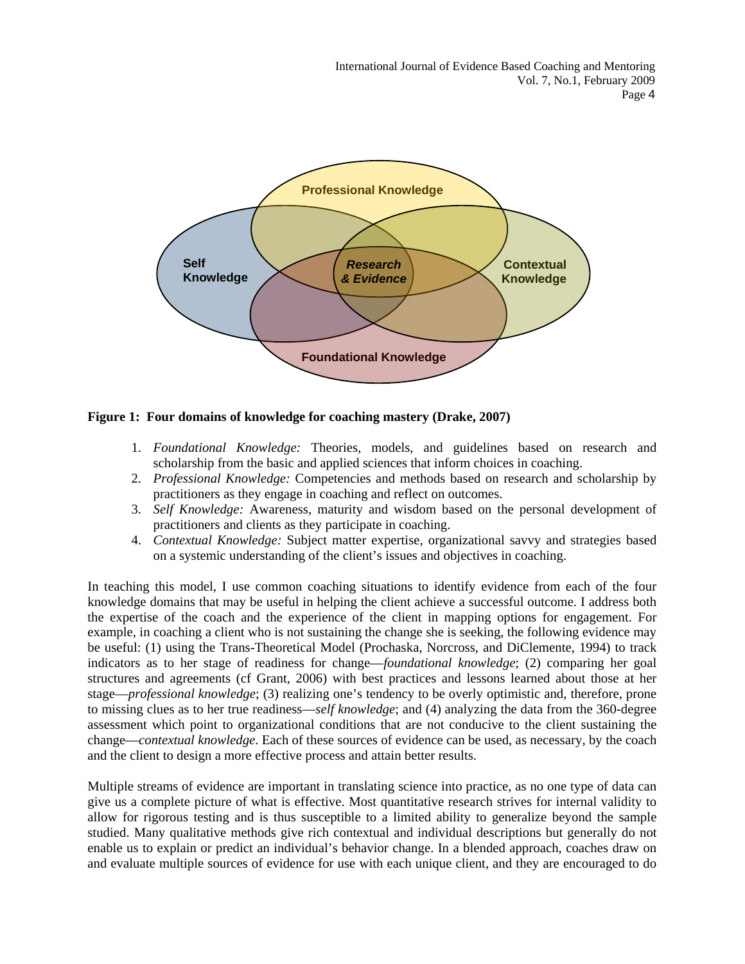International Journal of Evidence Based Coaching and Mentoring Vol. 7, No.1, February 2009 Page 4



**Figure 1: Four domains of knowledge for coaching mastery (Drake, 2007)** 

- 1. *Foundational Knowledge:* Theories, models, and guidelines based on research and scholarship from the basic and applied sciences that inform choices in coaching.
- 2. *Professional Knowledge:* Competencies and methods based on research and scholarship by practitioners as they engage in coaching and reflect on outcomes.
- 3. *Self Knowledge:* Awareness, maturity and wisdom based on the personal development of practitioners and clients as they participate in coaching.
- 4. *Contextual Knowledge:* Subject matter expertise, organizational savvy and strategies based on a systemic understanding of the client's issues and objectives in coaching.

In teaching this model, I use common coaching situations to identify evidence from each of the four knowledge domains that may be useful in helping the client achieve a successful outcome. I address both the expertise of the coach and the experience of the client in mapping options for engagement. For example, in coaching a client who is not sustaining the change she is seeking, the following evidence may be useful: (1) using the Trans-Theoretical Model (Prochaska, Norcross, and DiClemente, 1994) to track indicators as to her stage of readiness for change—*foundational knowledge*; (2) comparing her goal structures and agreements (cf Grant, 2006) with best practices and lessons learned about those at her stage—*professional knowledge*; (3) realizing one's tendency to be overly optimistic and, therefore, prone to missing clues as to her true readiness—*self knowledge*; and (4) analyzing the data from the 360-degree assessment which point to organizational conditions that are not conducive to the client sustaining the change—*contextual knowledge*. Each of these sources of evidence can be used, as necessary, by the coach and the client to design a more effective process and attain better results.

Multiple streams of evidence are important in translating science into practice, as no one type of data can give us a complete picture of what is effective. Most quantitative research strives for internal validity to allow for rigorous testing and is thus susceptible to a limited ability to generalize beyond the sample studied. Many qualitative methods give rich contextual and individual descriptions but generally do not enable us to explain or predict an individual's behavior change. In a blended approach, coaches draw on and evaluate multiple sources of evidence for use with each unique client, and they are encouraged to do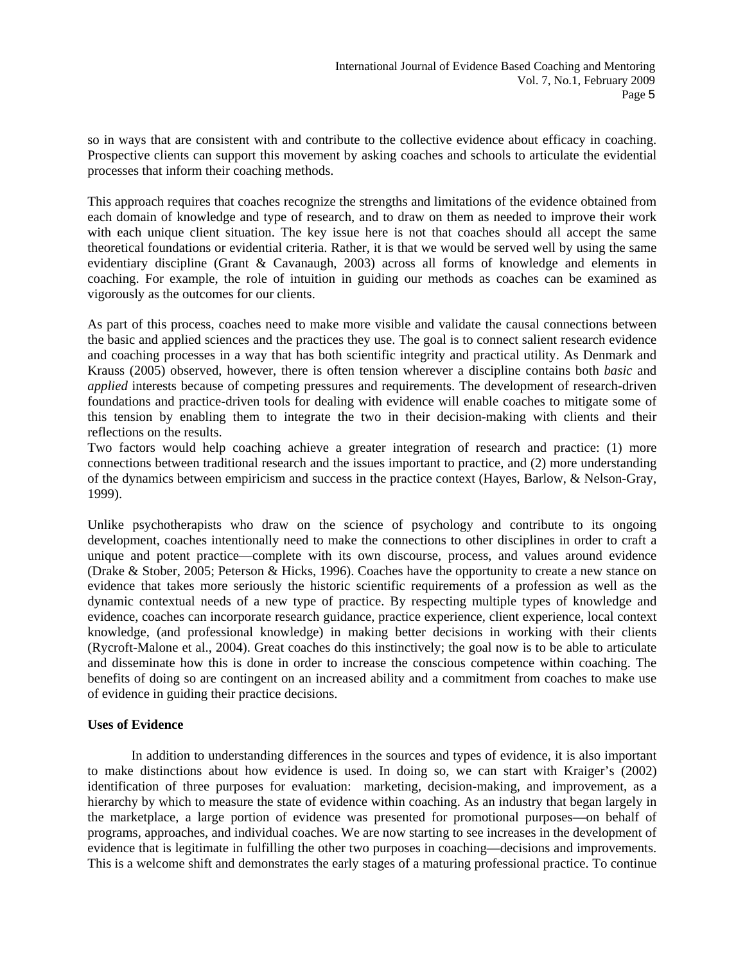so in ways that are consistent with and contribute to the collective evidence about efficacy in coaching. Prospective clients can support this movement by asking coaches and schools to articulate the evidential processes that inform their coaching methods.

This approach requires that coaches recognize the strengths and limitations of the evidence obtained from each domain of knowledge and type of research, and to draw on them as needed to improve their work with each unique client situation. The key issue here is not that coaches should all accept the same theoretical foundations or evidential criteria. Rather, it is that we would be served well by using the same evidentiary discipline (Grant & Cavanaugh, 2003) across all forms of knowledge and elements in coaching. For example, the role of intuition in guiding our methods as coaches can be examined as vigorously as the outcomes for our clients.

As part of this process, coaches need to make more visible and validate the causal connections between the basic and applied sciences and the practices they use. The goal is to connect salient research evidence and coaching processes in a way that has both scientific integrity and practical utility. As Denmark and Krauss (2005) observed, however, there is often tension wherever a discipline contains both *basic* and *applied* interests because of competing pressures and requirements. The development of research-driven foundations and practice-driven tools for dealing with evidence will enable coaches to mitigate some of this tension by enabling them to integrate the two in their decision-making with clients and their reflections on the results.

Two factors would help coaching achieve a greater integration of research and practice: (1) more connections between traditional research and the issues important to practice, and (2) more understanding of the dynamics between empiricism and success in the practice context (Hayes, Barlow, & Nelson-Gray, 1999).

Unlike psychotherapists who draw on the science of psychology and contribute to its ongoing development, coaches intentionally need to make the connections to other disciplines in order to craft a unique and potent practice—complete with its own discourse, process, and values around evidence (Drake & Stober, 2005; Peterson & Hicks, 1996). Coaches have the opportunity to create a new stance on evidence that takes more seriously the historic scientific requirements of a profession as well as the dynamic contextual needs of a new type of practice. By respecting multiple types of knowledge and evidence, coaches can incorporate research guidance, practice experience, client experience, local context knowledge, (and professional knowledge) in making better decisions in working with their clients (Rycroft-Malone et al., 2004). Great coaches do this instinctively; the goal now is to be able to articulate and disseminate how this is done in order to increase the conscious competence within coaching. The benefits of doing so are contingent on an increased ability and a commitment from coaches to make use of evidence in guiding their practice decisions.

#### **Uses of Evidence**

In addition to understanding differences in the sources and types of evidence, it is also important to make distinctions about how evidence is used. In doing so, we can start with Kraiger's (2002) identification of three purposes for evaluation: marketing, decision-making, and improvement, as a hierarchy by which to measure the state of evidence within coaching. As an industry that began largely in the marketplace, a large portion of evidence was presented for promotional purposes—on behalf of programs, approaches, and individual coaches. We are now starting to see increases in the development of evidence that is legitimate in fulfilling the other two purposes in coaching—decisions and improvements. This is a welcome shift and demonstrates the early stages of a maturing professional practice. To continue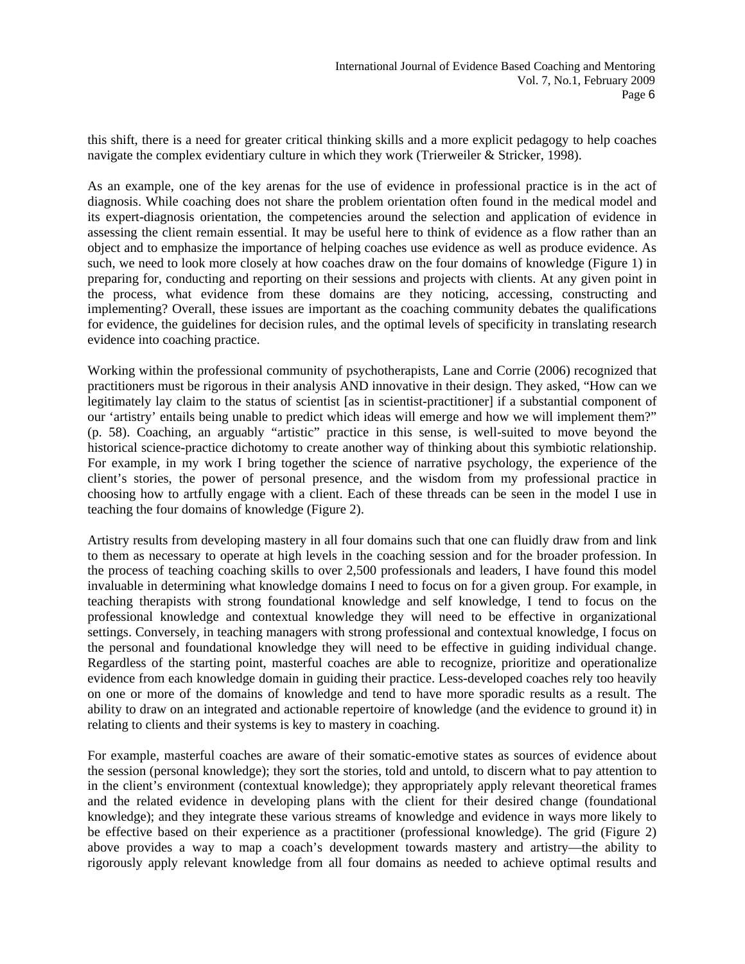this shift, there is a need for greater critical thinking skills and a more explicit pedagogy to help coaches navigate the complex evidentiary culture in which they work (Trierweiler & Stricker, 1998).

As an example, one of the key arenas for the use of evidence in professional practice is in the act of diagnosis. While coaching does not share the problem orientation often found in the medical model and its expert-diagnosis orientation, the competencies around the selection and application of evidence in assessing the client remain essential. It may be useful here to think of evidence as a flow rather than an object and to emphasize the importance of helping coaches use evidence as well as produce evidence. As such, we need to look more closely at how coaches draw on the four domains of knowledge (Figure 1) in preparing for, conducting and reporting on their sessions and projects with clients. At any given point in the process, what evidence from these domains are they noticing, accessing, constructing and implementing? Overall, these issues are important as the coaching community debates the qualifications for evidence, the guidelines for decision rules, and the optimal levels of specificity in translating research evidence into coaching practice.

Working within the professional community of psychotherapists, Lane and Corrie (2006) recognized that practitioners must be rigorous in their analysis AND innovative in their design. They asked, "How can we legitimately lay claim to the status of scientist [as in scientist-practitioner] if a substantial component of our 'artistry' entails being unable to predict which ideas will emerge and how we will implement them?" (p. 58). Coaching, an arguably "artistic" practice in this sense, is well-suited to move beyond the historical science-practice dichotomy to create another way of thinking about this symbiotic relationship. For example, in my work I bring together the science of narrative psychology, the experience of the client's stories, the power of personal presence, and the wisdom from my professional practice in choosing how to artfully engage with a client. Each of these threads can be seen in the model I use in teaching the four domains of knowledge (Figure 2).

Artistry results from developing mastery in all four domains such that one can fluidly draw from and link to them as necessary to operate at high levels in the coaching session and for the broader profession. In the process of teaching coaching skills to over 2,500 professionals and leaders, I have found this model invaluable in determining what knowledge domains I need to focus on for a given group. For example, in teaching therapists with strong foundational knowledge and self knowledge, I tend to focus on the professional knowledge and contextual knowledge they will need to be effective in organizational settings. Conversely, in teaching managers with strong professional and contextual knowledge, I focus on the personal and foundational knowledge they will need to be effective in guiding individual change. Regardless of the starting point, masterful coaches are able to recognize, prioritize and operationalize evidence from each knowledge domain in guiding their practice. Less-developed coaches rely too heavily on one or more of the domains of knowledge and tend to have more sporadic results as a result. The ability to draw on an integrated and actionable repertoire of knowledge (and the evidence to ground it) in relating to clients and their systems is key to mastery in coaching.

For example, masterful coaches are aware of their somatic-emotive states as sources of evidence about the session (personal knowledge); they sort the stories, told and untold, to discern what to pay attention to in the client's environment (contextual knowledge); they appropriately apply relevant theoretical frames and the related evidence in developing plans with the client for their desired change (foundational knowledge); and they integrate these various streams of knowledge and evidence in ways more likely to be effective based on their experience as a practitioner (professional knowledge). The grid (Figure 2) above provides a way to map a coach's development towards mastery and artistry—the ability to rigorously apply relevant knowledge from all four domains as needed to achieve optimal results and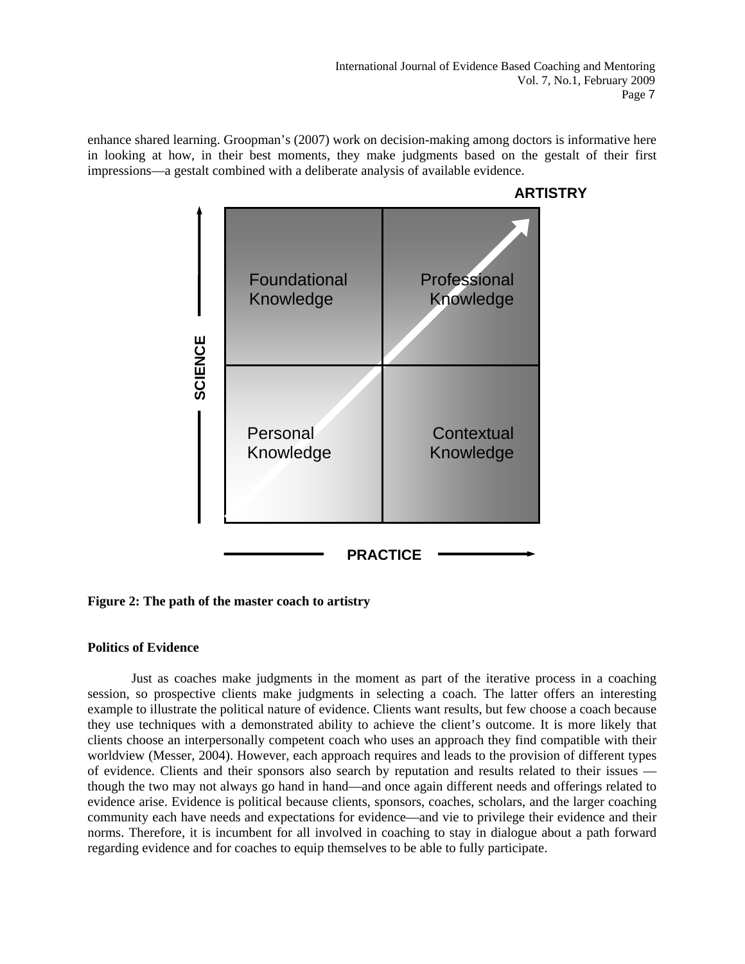enhance shared learning. Groopman's (2007) work on decision-making among doctors is informative here in looking at how, in their best moments, they make judgments based on the gestalt of their first impressions—a gestalt combined with a deliberate analysis of available evidence.



**Figure 2: The path of the master coach to artistry** 

## **Politics of Evidence**

Just as coaches make judgments in the moment as part of the iterative process in a coaching session, so prospective clients make judgments in selecting a coach. The latter offers an interesting example to illustrate the political nature of evidence. Clients want results, but few choose a coach because they use techniques with a demonstrated ability to achieve the client's outcome. It is more likely that clients choose an interpersonally competent coach who uses an approach they find compatible with their worldview (Messer, 2004). However, each approach requires and leads to the provision of different types of evidence. Clients and their sponsors also search by reputation and results related to their issues though the two may not always go hand in hand—and once again different needs and offerings related to evidence arise. Evidence is political because clients, sponsors, coaches, scholars, and the larger coaching community each have needs and expectations for evidence—and vie to privilege their evidence and their norms. Therefore, it is incumbent for all involved in coaching to stay in dialogue about a path forward regarding evidence and for coaches to equip themselves to be able to fully participate.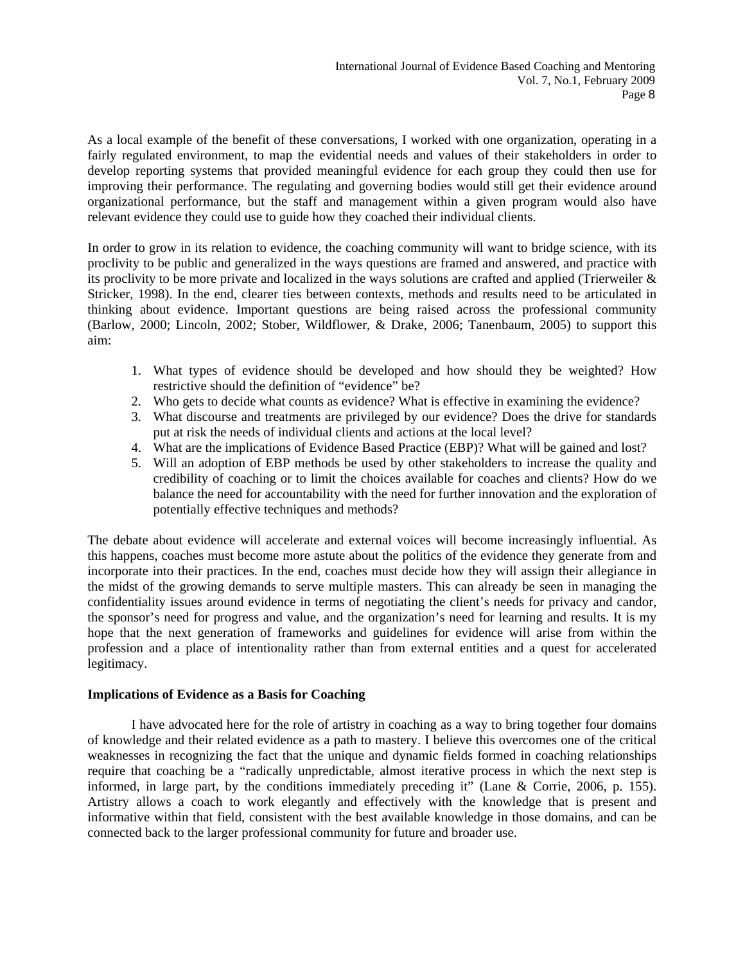As a local example of the benefit of these conversations, I worked with one organization, operating in a fairly regulated environment, to map the evidential needs and values of their stakeholders in order to develop reporting systems that provided meaningful evidence for each group they could then use for improving their performance. The regulating and governing bodies would still get their evidence around organizational performance, but the staff and management within a given program would also have relevant evidence they could use to guide how they coached their individual clients.

In order to grow in its relation to evidence, the coaching community will want to bridge science, with its proclivity to be public and generalized in the ways questions are framed and answered, and practice with its proclivity to be more private and localized in the ways solutions are crafted and applied (Trierweiler & Stricker, 1998). In the end, clearer ties between contexts, methods and results need to be articulated in thinking about evidence. Important questions are being raised across the professional community (Barlow, 2000; Lincoln, 2002; Stober, Wildflower, & Drake, 2006; Tanenbaum, 2005) to support this aim:

- 1. What types of evidence should be developed and how should they be weighted? How restrictive should the definition of "evidence" be?
- 2. Who gets to decide what counts as evidence? What is effective in examining the evidence?
- 3. What discourse and treatments are privileged by our evidence? Does the drive for standards put at risk the needs of individual clients and actions at the local level?
- 4. What are the implications of Evidence Based Practice (EBP)? What will be gained and lost?
- 5. Will an adoption of EBP methods be used by other stakeholders to increase the quality and credibility of coaching or to limit the choices available for coaches and clients? How do we balance the need for accountability with the need for further innovation and the exploration of potentially effective techniques and methods?

The debate about evidence will accelerate and external voices will become increasingly influential. As this happens, coaches must become more astute about the politics of the evidence they generate from and incorporate into their practices. In the end, coaches must decide how they will assign their allegiance in the midst of the growing demands to serve multiple masters. This can already be seen in managing the confidentiality issues around evidence in terms of negotiating the client's needs for privacy and candor, the sponsor's need for progress and value, and the organization's need for learning and results. It is my hope that the next generation of frameworks and guidelines for evidence will arise from within the profession and a place of intentionality rather than from external entities and a quest for accelerated legitimacy.

## **Implications of Evidence as a Basis for Coaching**

I have advocated here for the role of artistry in coaching as a way to bring together four domains of knowledge and their related evidence as a path to mastery. I believe this overcomes one of the critical weaknesses in recognizing the fact that the unique and dynamic fields formed in coaching relationships require that coaching be a "radically unpredictable, almost iterative process in which the next step is informed, in large part, by the conditions immediately preceding it" (Lane & Corrie, 2006, p. 155). Artistry allows a coach to work elegantly and effectively with the knowledge that is present and informative within that field, consistent with the best available knowledge in those domains, and can be connected back to the larger professional community for future and broader use.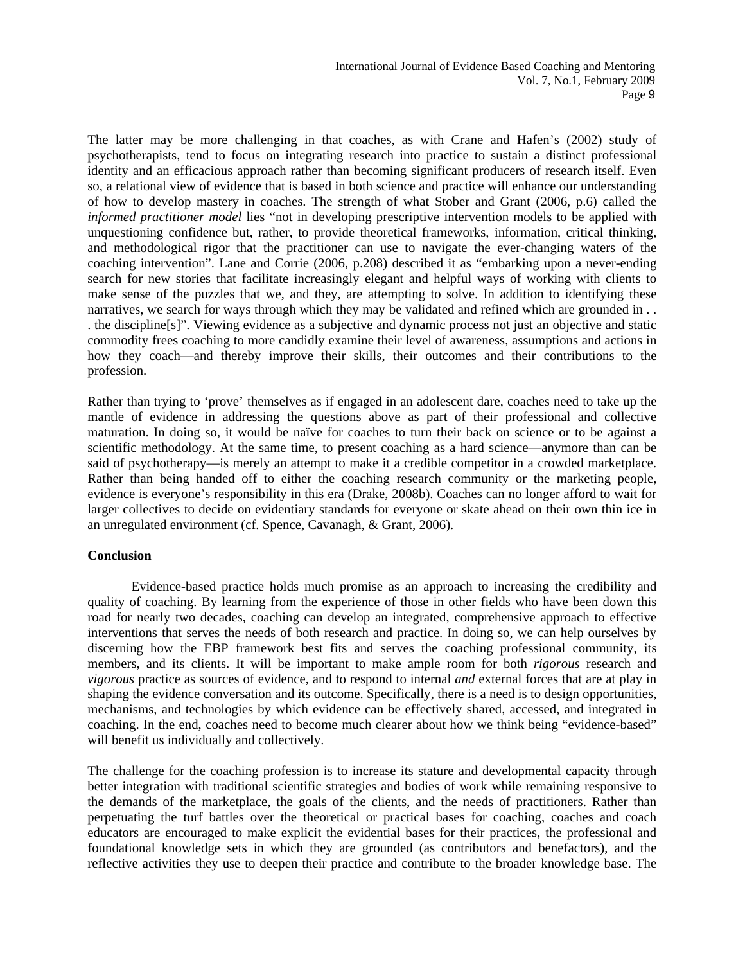The latter may be more challenging in that coaches, as with Crane and Hafen's (2002) study of psychotherapists, tend to focus on integrating research into practice to sustain a distinct professional identity and an efficacious approach rather than becoming significant producers of research itself. Even so, a relational view of evidence that is based in both science and practice will enhance our understanding of how to develop mastery in coaches. The strength of what Stober and Grant (2006, p.6) called the *informed practitioner model* lies "not in developing prescriptive intervention models to be applied with unquestioning confidence but, rather, to provide theoretical frameworks, information, critical thinking, and methodological rigor that the practitioner can use to navigate the ever-changing waters of the coaching intervention". Lane and Corrie (2006, p.208) described it as "embarking upon a never-ending search for new stories that facilitate increasingly elegant and helpful ways of working with clients to make sense of the puzzles that we, and they, are attempting to solve. In addition to identifying these narratives, we search for ways through which they may be validated and refined which are grounded in . . . the discipline[s]". Viewing evidence as a subjective and dynamic process not just an objective and static commodity frees coaching to more candidly examine their level of awareness, assumptions and actions in how they coach—and thereby improve their skills, their outcomes and their contributions to the profession.

Rather than trying to 'prove' themselves as if engaged in an adolescent dare, coaches need to take up the mantle of evidence in addressing the questions above as part of their professional and collective maturation. In doing so, it would be naïve for coaches to turn their back on science or to be against a scientific methodology. At the same time, to present coaching as a hard science—anymore than can be said of psychotherapy—is merely an attempt to make it a credible competitor in a crowded marketplace. Rather than being handed off to either the coaching research community or the marketing people, evidence is everyone's responsibility in this era (Drake, 2008b). Coaches can no longer afford to wait for larger collectives to decide on evidentiary standards for everyone or skate ahead on their own thin ice in an unregulated environment (cf. Spence, Cavanagh, & Grant, 2006).

## **Conclusion**

Evidence-based practice holds much promise as an approach to increasing the credibility and quality of coaching. By learning from the experience of those in other fields who have been down this road for nearly two decades, coaching can develop an integrated, comprehensive approach to effective interventions that serves the needs of both research and practice. In doing so, we can help ourselves by discerning how the EBP framework best fits and serves the coaching professional community, its members, and its clients. It will be important to make ample room for both *rigorous* research and *vigorous* practice as sources of evidence, and to respond to internal *and* external forces that are at play in shaping the evidence conversation and its outcome. Specifically, there is a need is to design opportunities, mechanisms, and technologies by which evidence can be effectively shared, accessed, and integrated in coaching. In the end, coaches need to become much clearer about how we think being "evidence-based" will benefit us individually and collectively.

The challenge for the coaching profession is to increase its stature and developmental capacity through better integration with traditional scientific strategies and bodies of work while remaining responsive to the demands of the marketplace, the goals of the clients, and the needs of practitioners. Rather than perpetuating the turf battles over the theoretical or practical bases for coaching, coaches and coach educators are encouraged to make explicit the evidential bases for their practices, the professional and foundational knowledge sets in which they are grounded (as contributors and benefactors), and the reflective activities they use to deepen their practice and contribute to the broader knowledge base. The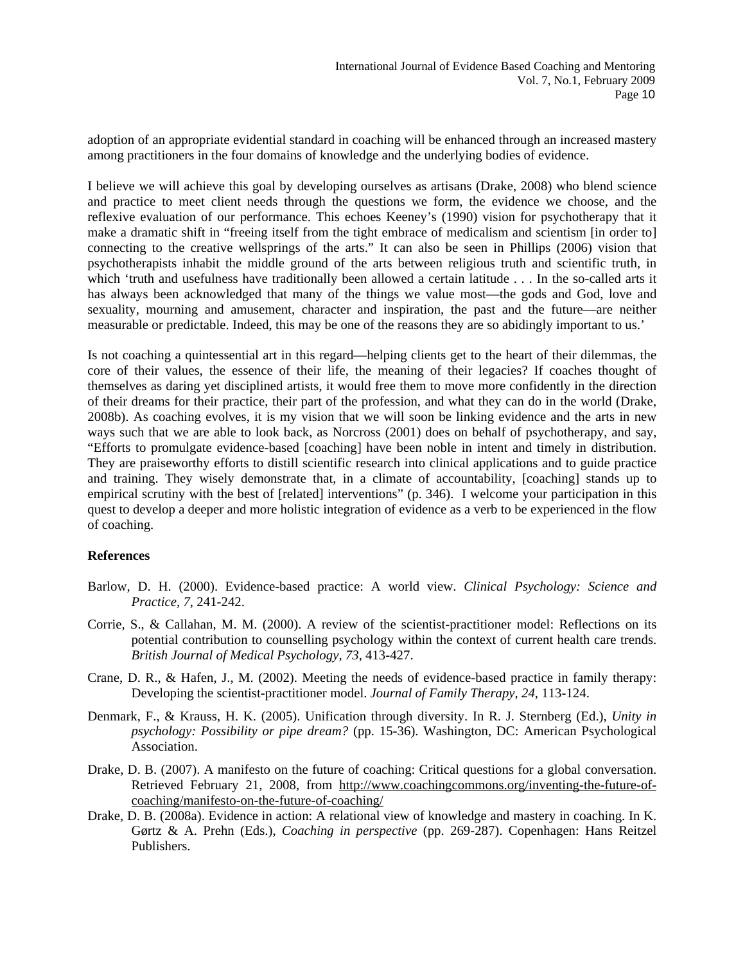adoption of an appropriate evidential standard in coaching will be enhanced through an increased mastery among practitioners in the four domains of knowledge and the underlying bodies of evidence.

I believe we will achieve this goal by developing ourselves as artisans (Drake, 2008) who blend science and practice to meet client needs through the questions we form, the evidence we choose, and the reflexive evaluation of our performance. This echoes Keeney's (1990) vision for psychotherapy that it make a dramatic shift in "freeing itself from the tight embrace of medicalism and scientism [in order to] connecting to the creative wellsprings of the arts." It can also be seen in Phillips (2006) vision that psychotherapists inhabit the middle ground of the arts between religious truth and scientific truth, in which 'truth and usefulness have traditionally been allowed a certain latitude . . . In the so-called arts it has always been acknowledged that many of the things we value most—the gods and God, love and sexuality, mourning and amusement, character and inspiration, the past and the future—are neither measurable or predictable. Indeed, this may be one of the reasons they are so abidingly important to us.'

Is not coaching a quintessential art in this regard—helping clients get to the heart of their dilemmas, the core of their values, the essence of their life, the meaning of their legacies? If coaches thought of themselves as daring yet disciplined artists, it would free them to move more confidently in the direction of their dreams for their practice, their part of the profession, and what they can do in the world (Drake, 2008b). As coaching evolves, it is my vision that we will soon be linking evidence and the arts in new ways such that we are able to look back, as Norcross (2001) does on behalf of psychotherapy, and say, "Efforts to promulgate evidence-based [coaching] have been noble in intent and timely in distribution. They are praiseworthy efforts to distill scientific research into clinical applications and to guide practice and training. They wisely demonstrate that, in a climate of accountability, [coaching] stands up to empirical scrutiny with the best of [related] interventions" (p. 346). I welcome your participation in this quest to develop a deeper and more holistic integration of evidence as a verb to be experienced in the flow of coaching.

## **References**

- Barlow, D. H. (2000). Evidence-based practice: A world view. *Clinical Psychology: Science and Practice, 7*, 241-242.
- Corrie, S., & Callahan, M. M. (2000). A review of the scientist-practitioner model: Reflections on its potential contribution to counselling psychology within the context of current health care trends. *British Journal of Medical Psychology, 73*, 413-427.
- Crane, D. R., & Hafen, J., M. (2002). Meeting the needs of evidence-based practice in family therapy: Developing the scientist-practitioner model. *Journal of Family Therapy, 24*, 113-124.
- Denmark, F., & Krauss, H. K. (2005). Unification through diversity. In R. J. Sternberg (Ed.), *Unity in psychology: Possibility or pipe dream?* (pp. 15-36). Washington, DC: American Psychological Association.
- Drake, D. B. (2007). A manifesto on the future of coaching: Critical questions for a global conversation. Retrieved February 21, 2008, from http://www.coachingcommons.org/inventing-the-future-ofcoaching/manifesto-on-the-future-of-coaching/
- Drake, D. B. (2008a). Evidence in action: A relational view of knowledge and mastery in coaching. In K. Gørtz & A. Prehn (Eds.), *Coaching in perspective* (pp. 269-287). Copenhagen: Hans Reitzel Publishers.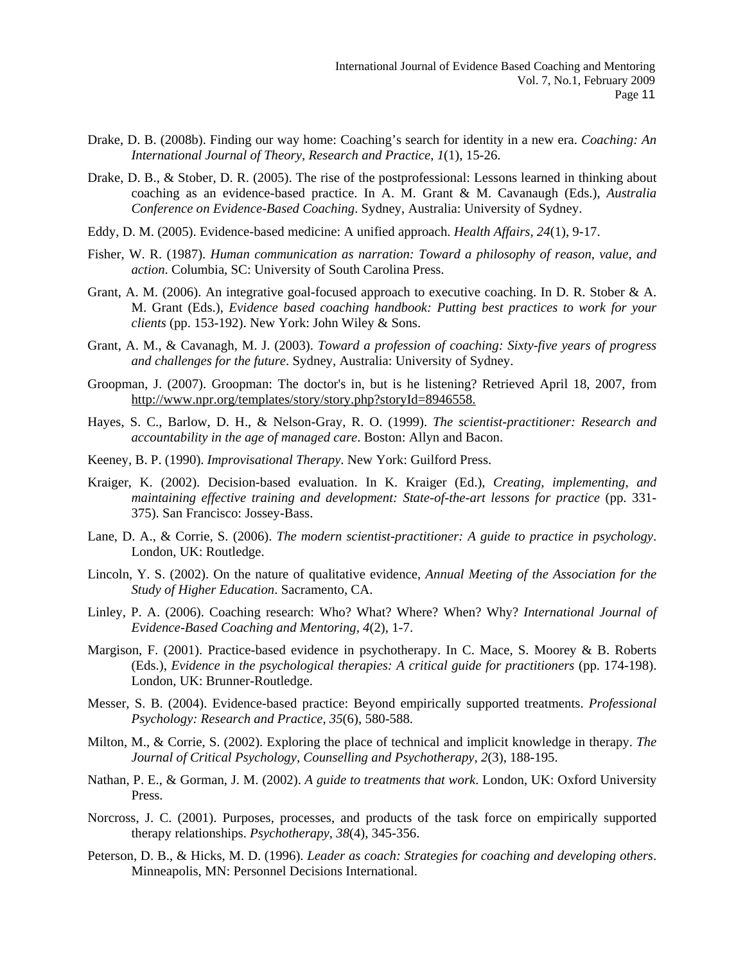- Drake, D. B. (2008b). Finding our way home: Coaching's search for identity in a new era. *Coaching: An International Journal of Theory, Research and Practice, 1*(1), 15-26.
- Drake, D. B., & Stober, D. R. (2005). The rise of the postprofessional: Lessons learned in thinking about coaching as an evidence-based practice. In A. M. Grant & M. Cavanaugh (Eds.), *Australia Conference on Evidence-Based Coaching*. Sydney, Australia: University of Sydney.
- Eddy, D. M. (2005). Evidence-based medicine: A unified approach. *Health Affairs, 24*(1), 9-17.
- Fisher, W. R. (1987). *Human communication as narration: Toward a philosophy of reason, value, and action*. Columbia, SC: University of South Carolina Press.
- Grant, A. M. (2006). An integrative goal-focused approach to executive coaching. In D. R. Stober & A. M. Grant (Eds.), *Evidence based coaching handbook: Putting best practices to work for your clients* (pp. 153-192). New York: John Wiley & Sons.
- Grant, A. M., & Cavanagh, M. J. (2003). *Toward a profession of coaching: Sixty-five years of progress and challenges for the future*. Sydney, Australia: University of Sydney.
- Groopman, J. (2007). Groopman: The doctor's in, but is he listening? Retrieved April 18, 2007, from <http://www.npr.org/templates/story/story.php?storyId=8946558>.
- Hayes, S. C., Barlow, D. H., & Nelson-Gray, R. O. (1999). *The scientist-practitioner: Research and accountability in the age of managed care*. Boston: Allyn and Bacon.
- Keeney, B. P. (1990). *Improvisational Therapy*. New York: Guilford Press.
- Kraiger, K. (2002). Decision-based evaluation. In K. Kraiger (Ed.), *Creating, implementing, and maintaining effective training and development: State-of-the-art lessons for practice* (pp. 331- 375). San Francisco: Jossey-Bass.
- Lane, D. A., & Corrie, S. (2006). *The modern scientist-practitioner: A guide to practice in psychology*. London, UK: Routledge.
- Lincoln, Y. S. (2002). On the nature of qualitative evidence, *Annual Meeting of the Association for the Study of Higher Education*. Sacramento, CA.
- Linley, P. A. (2006). Coaching research: Who? What? Where? When? Why? *International Journal of Evidence-Based Coaching and Mentoring, 4*(2), 1-7.
- Margison, F. (2001). Practice-based evidence in psychotherapy. In C. Mace, S. Moorey & B. Roberts (Eds.), *Evidence in the psychological therapies: A critical guide for practitioners* (pp. 174-198). London, UK: Brunner-Routledge.
- Messer, S. B. (2004). Evidence-based practice: Beyond empirically supported treatments. *Professional Psychology: Research and Practice, 35*(6), 580-588.
- Milton, M., & Corrie, S. (2002). Exploring the place of technical and implicit knowledge in therapy. *The Journal of Critical Psychology, Counselling and Psychotherapy, 2*(3), 188-195.
- Nathan, P. E., & Gorman, J. M. (2002). *A guide to treatments that work*. London, UK: Oxford University Press.
- Norcross, J. C. (2001). Purposes, processes, and products of the task force on empirically supported therapy relationships. *Psychotherapy, 38*(4), 345-356.
- Peterson, D. B., & Hicks, M. D. (1996). *Leader as coach: Strategies for coaching and developing others*. Minneapolis, MN: Personnel Decisions International.